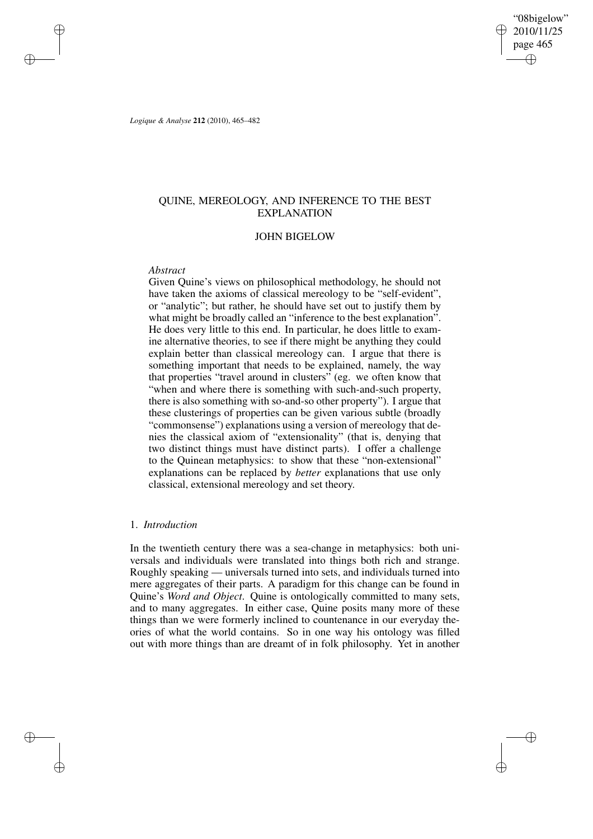"08bigelow" 2010/11/25 page 465 ✐ ✐

✐

✐

*Logique & Analyse* **212** (2010), 465–482

✐

✐

✐

✐

# QUINE, MEREOLOGY, AND INFERENCE TO THE BEST EXPLANATION

# JOHN BIGELOW

## *Abstract*

Given Quine's views on philosophical methodology, he should not have taken the axioms of classical mereology to be "self-evident", or "analytic"; but rather, he should have set out to justify them by what might be broadly called an "inference to the best explanation". He does very little to this end. In particular, he does little to examine alternative theories, to see if there might be anything they could explain better than classical mereology can. I argue that there is something important that needs to be explained, namely, the way that properties "travel around in clusters" (eg. we often know that "when and where there is something with such-and-such property, there is also something with so-and-so other property"). I argue that these clusterings of properties can be given various subtle (broadly "commonsense") explanations using a version of mereology that denies the classical axiom of "extensionality" (that is, denying that two distinct things must have distinct parts). I offer a challenge to the Quinean metaphysics: to show that these "non-extensional" explanations can be replaced by *better* explanations that use only classical, extensional mereology and set theory.

## 1. *Introduction*

In the twentieth century there was a sea-change in metaphysics: both universals and individuals were translated into things both rich and strange. Roughly speaking — universals turned into sets, and individuals turned into mere aggregates of their parts. A paradigm for this change can be found in Quine's *Word and Object*. Quine is ontologically committed to many sets, and to many aggregates. In either case, Quine posits many more of these things than we were formerly inclined to countenance in our everyday theories of what the world contains. So in one way his ontology was filled out with more things than are dreamt of in folk philosophy. Yet in another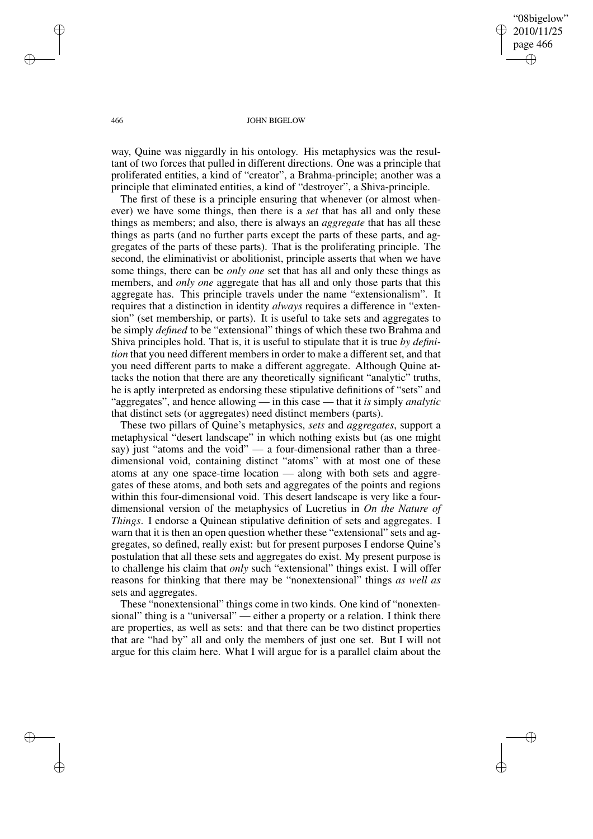"08bigelow" 2010/11/25 page 466 ✐ ✐

✐

✐

### 466 JOHN BIGELOW

way, Quine was niggardly in his ontology. His metaphysics was the resultant of two forces that pulled in different directions. One was a principle that proliferated entities, a kind of "creator", a Brahma-principle; another was a principle that eliminated entities, a kind of "destroyer", a Shiva-principle.

The first of these is a principle ensuring that whenever (or almost whenever) we have some things, then there is a *set* that has all and only these things as members; and also, there is always an *aggregate* that has all these things as parts (and no further parts except the parts of these parts, and aggregates of the parts of these parts). That is the proliferating principle. The second, the eliminativist or abolitionist, principle asserts that when we have some things, there can be *only one* set that has all and only these things as members, and *only one* aggregate that has all and only those parts that this aggregate has. This principle travels under the name "extensionalism". It requires that a distinction in identity *always* requires a difference in "extension" (set membership, or parts). It is useful to take sets and aggregates to be simply *defined* to be "extensional" things of which these two Brahma and Shiva principles hold. That is, it is useful to stipulate that it is true *by definition* that you need different members in order to make a different set, and that you need different parts to make a different aggregate. Although Quine attacks the notion that there are any theoretically significant "analytic" truths, he is aptly interpreted as endorsing these stipulative definitions of "sets" and "aggregates", and hence allowing — in this case — that it *is* simply *analytic* that distinct sets (or aggregates) need distinct members (parts).

These two pillars of Quine's metaphysics, *sets* and *aggregates*, support a metaphysical "desert landscape" in which nothing exists but (as one might say) just "atoms and the void"  $\frac{1}{2}$  a four-dimensional rather than a threedimensional void, containing distinct "atoms" with at most one of these atoms at any one space-time location — along with both sets and aggregates of these atoms, and both sets and aggregates of the points and regions within this four-dimensional void. This desert landscape is very like a fourdimensional version of the metaphysics of Lucretius in *On the Nature of Things*. I endorse a Quinean stipulative definition of sets and aggregates. I warn that it is then an open question whether these "extensional" sets and aggregates, so defined, really exist: but for present purposes I endorse Quine's postulation that all these sets and aggregates do exist. My present purpose is to challenge his claim that *only* such "extensional" things exist. I will offer reasons for thinking that there may be "nonextensional" things *as well as* sets and aggregates.

These "nonextensional" things come in two kinds. One kind of "nonextensional" thing is a "universal" — either a property or a relation. I think there are properties, as well as sets: and that there can be two distinct properties that are "had by" all and only the members of just one set. But I will not argue for this claim here. What I will argue for is a parallel claim about the

✐

✐

✐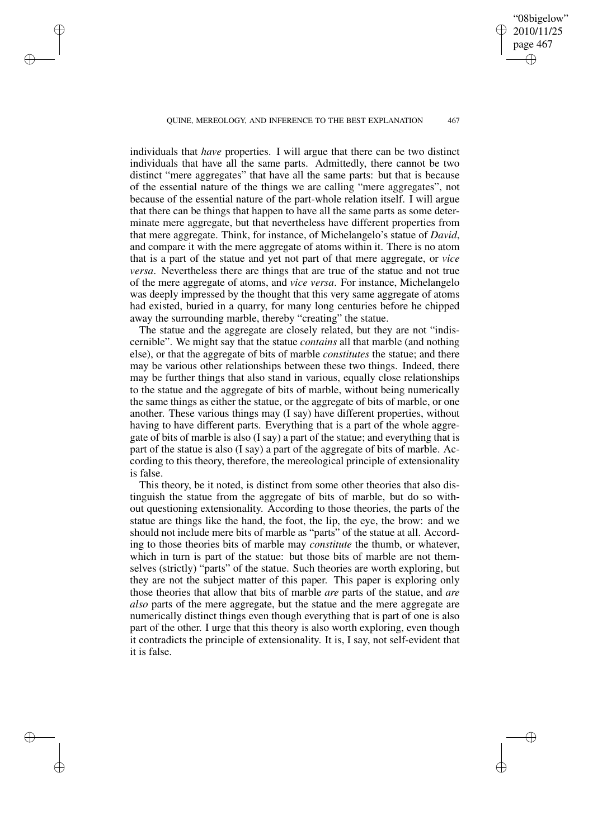QUINE, MEREOLOGY, AND INFERENCE TO THE BEST EXPLANATION 467

✐

✐

✐

✐

"08bigelow" 2010/11/25 page 467

✐

✐

✐

✐

individuals that *have* properties. I will argue that there can be two distinct individuals that have all the same parts. Admittedly, there cannot be two distinct "mere aggregates" that have all the same parts: but that is because of the essential nature of the things we are calling "mere aggregates", not because of the essential nature of the part-whole relation itself. I will argue that there can be things that happen to have all the same parts as some determinate mere aggregate, but that nevertheless have different properties from that mere aggregate. Think, for instance, of Michelangelo's statue of *David*, and compare it with the mere aggregate of atoms within it. There is no atom that is a part of the statue and yet not part of that mere aggregate, or *vice versa*. Nevertheless there are things that are true of the statue and not true of the mere aggregate of atoms, and *vice versa*. For instance, Michelangelo was deeply impressed by the thought that this very same aggregate of atoms had existed, buried in a quarry, for many long centuries before he chipped away the surrounding marble, thereby "creating" the statue.

The statue and the aggregate are closely related, but they are not "indiscernible". We might say that the statue *contains* all that marble (and nothing else), or that the aggregate of bits of marble *constitutes* the statue; and there may be various other relationships between these two things. Indeed, there may be further things that also stand in various, equally close relationships to the statue and the aggregate of bits of marble, without being numerically the same things as either the statue, or the aggregate of bits of marble, or one another. These various things may (I say) have different properties, without having to have different parts. Everything that is a part of the whole aggregate of bits of marble is also (I say) a part of the statue; and everything that is part of the statue is also (I say) a part of the aggregate of bits of marble. According to this theory, therefore, the mereological principle of extensionality is false.

This theory, be it noted, is distinct from some other theories that also distinguish the statue from the aggregate of bits of marble, but do so without questioning extensionality. According to those theories, the parts of the statue are things like the hand, the foot, the lip, the eye, the brow: and we should not include mere bits of marble as "parts" of the statue at all. According to those theories bits of marble may *constitute* the thumb, or whatever, which in turn is part of the statue: but those bits of marble are not themselves (strictly) "parts" of the statue. Such theories are worth exploring, but they are not the subject matter of this paper. This paper is exploring only those theories that allow that bits of marble *are* parts of the statue, and *are also* parts of the mere aggregate, but the statue and the mere aggregate are numerically distinct things even though everything that is part of one is also part of the other. I urge that this theory is also worth exploring, even though it contradicts the principle of extensionality. It is, I say, not self-evident that it is false.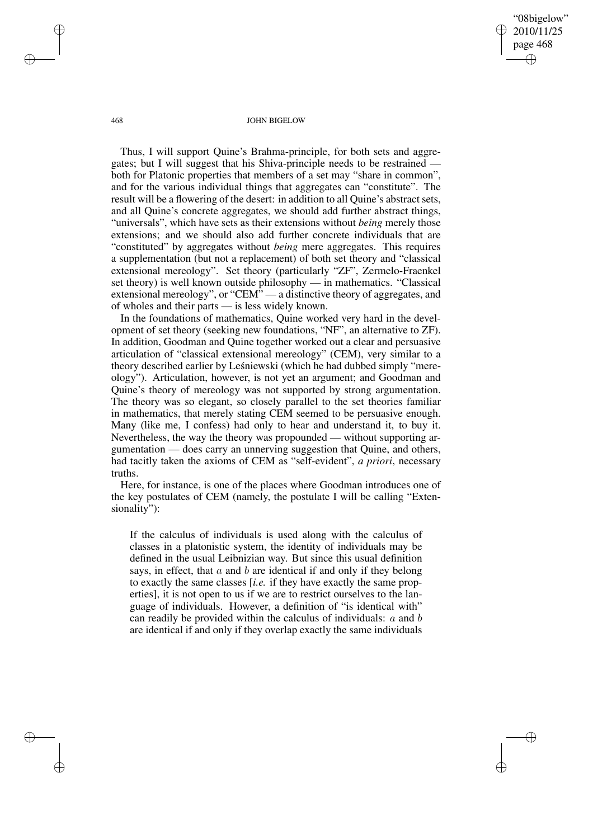"08bigelow" 2010/11/25 page 468 ✐ ✐

✐

✐

#### 468 JOHN BIGELOW

Thus, I will support Quine's Brahma-principle, for both sets and aggregates; but I will suggest that his Shiva-principle needs to be restrained both for Platonic properties that members of a set may "share in common", and for the various individual things that aggregates can "constitute". The result will be a flowering of the desert: in addition to all Quine's abstract sets, and all Quine's concrete aggregates, we should add further abstract things, "universals", which have sets as their extensions without *being* merely those extensions; and we should also add further concrete individuals that are "constituted" by aggregates without *being* mere aggregates. This requires a supplementation (but not a replacement) of both set theory and "classical extensional mereology". Set theory (particularly "ZF", Zermelo-Fraenkel set theory) is well known outside philosophy — in mathematics. "Classical extensional mereology", or "CEM" — a distinctive theory of aggregates, and of wholes and their parts — is less widely known.

In the foundations of mathematics, Quine worked very hard in the development of set theory (seeking new foundations, "NF", an alternative to ZF). In addition, Goodman and Quine together worked out a clear and persuasive articulation of "classical extensional mereology" (CEM), very similar to a theory described earlier by Lesnie wski (which he had dubbed simply "mereology"). Articulation, however, is not yet an argument; and Goodman and Quine's theory of mereology was not supported by strong argumentation. The theory was so elegant, so closely parallel to the set theories familiar in mathematics, that merely stating CEM seemed to be persuasive enough. Many (like me, I confess) had only to hear and understand it, to buy it. Nevertheless, the way the theory was propounded — without supporting argumentation — does carry an unnerving suggestion that Quine, and others, had tacitly taken the axioms of CEM as "self-evident", *a priori*, necessary truths.

Here, for instance, is one of the places where Goodman introduces one of the key postulates of CEM (namely, the postulate I will be calling "Extensionality"):

If the calculus of individuals is used along with the calculus of classes in a platonistic system, the identity of individuals may be defined in the usual Leibnizian way. But since this usual definition says, in effect, that  $a$  and  $b$  are identical if and only if they belong to exactly the same classes [*i.e.* if they have exactly the same properties], it is not open to us if we are to restrict ourselves to the language of individuals. However, a definition of "is identical with" can readily be provided within the calculus of individuals: a and b are identical if and only if they overlap exactly the same individuals

✐

✐

✐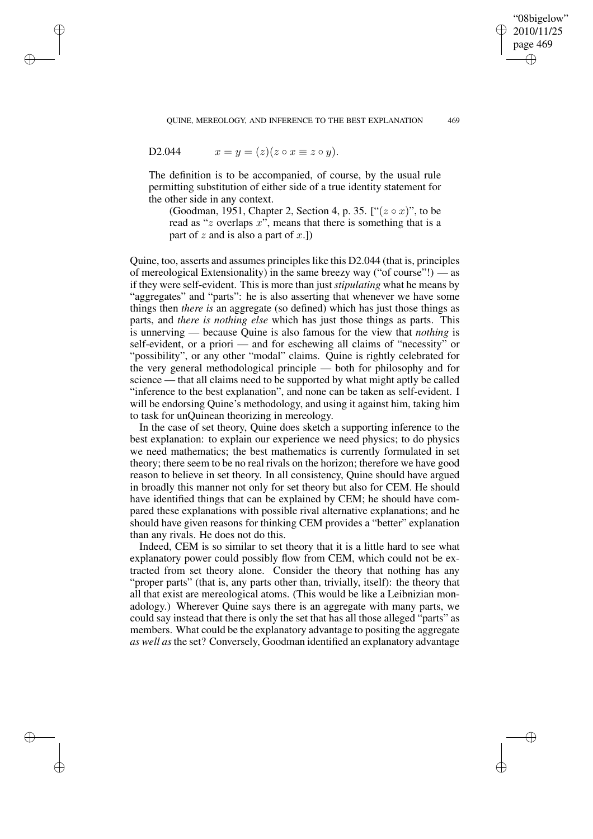QUINE, MEREOLOGY, AND INFERENCE TO THE BEST EXPLANATION 469

"08bigelow" 2010/11/25 page 469

✐

✐

✐

✐

D2.044 
$$
x = y = (z)(z \circ x \equiv z \circ y).
$$

✐

✐

✐

✐

The definition is to be accompanied, of course, by the usual rule permitting substitution of either side of a true identity statement for the other side in any context.

(Goodman, 1951, Chapter 2, Section 4, p. 35. [" $(z \circ x)$ ", to be read as "z overlaps x", means that there is something that is a part of z and is also a part of  $x$ .]

Quine, too, asserts and assumes principleslike this D2.044 (that is, principles of mereological Extensionality) in the same breezy way ("of course"!) — as if they were self-evident. This is more than just *stipulating* what he means by "aggregates" and "parts": he is also asserting that whenever we have some things then *there is* an aggregate (so defined) which has just those things as parts, and *there is nothing else* which has just those things as parts. This is unnerving — because Quine is also famous for the view that *nothing* is self-evident, or a priori — and for eschewing all claims of "necessity" or "possibility", or any other "modal" claims. Quine is rightly celebrated for the very general methodological principle — both for philosophy and for science — that all claims need to be supported by what might aptly be called "inference to the best explanation", and none can be taken as self-evident. I will be endorsing Quine's methodology, and using it against him, taking him to task for unQuinean theorizing in mereology.

In the case of set theory, Quine does sketch a supporting inference to the best explanation: to explain our experience we need physics; to do physics we need mathematics; the best mathematics is currently formulated in set theory; there seem to be no real rivals on the horizon; therefore we have good reason to believe in set theory. In all consistency, Quine should have argued in broadly this manner not only for set theory but also for CEM. He should have identified things that can be explained by CEM; he should have compared these explanations with possible rival alternative explanations; and he should have given reasons for thinking CEM provides a "better" explanation than any rivals. He does not do this.

Indeed, CEM is so similar to set theory that it is a little hard to see what explanatory power could possibly flow from CEM, which could not be extracted from set theory alone. Consider the theory that nothing has any "proper parts" (that is, any parts other than, trivially, itself): the theory that all that exist are mereological atoms. (This would be like a Leibnizian monadology.) Wherever Quine says there is an aggregate with many parts, we could say instead that there is only the set that has all those alleged "parts" as members. What could be the explanatory advantage to positing the aggregate *as well as*the set? Conversely, Goodman identified an explanatory advantage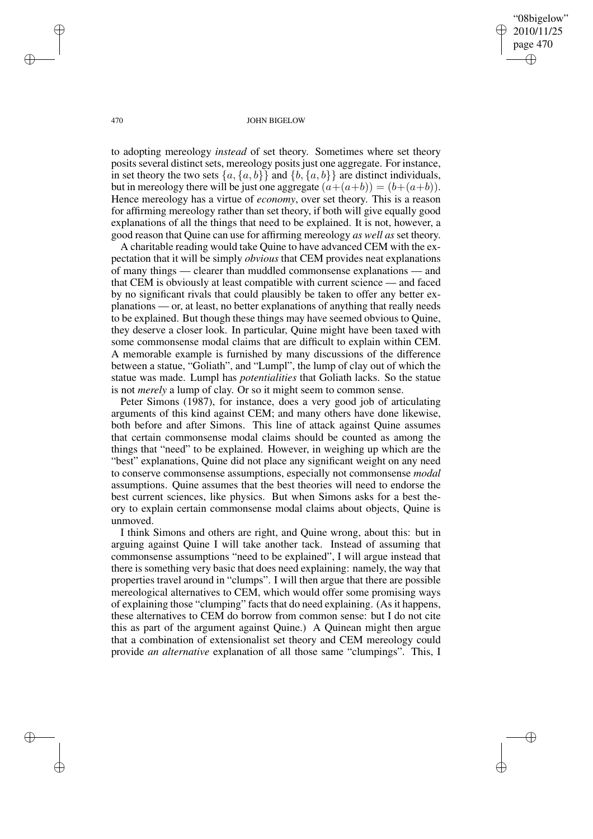"08bigelow" 2010/11/25 page 470 ✐ ✐

✐

✐

### 470 JOHN BIGELOW

to adopting mereology *instead* of set theory. Sometimes where set theory posits several distinct sets, mereology posits just one aggregate. For instance, in set theory the two sets  $\{a, \{a, b\}\}\$  and  $\{b, \{a, b\}\}\$  are distinct individuals, but in mereology there will be just one aggregate  $(a+(a+b)) = (b+(a+b))$ . Hence mereology has a virtue of *economy*, over set theory. This is a reason for affirming mereology rather than set theory, if both will give equally good explanations of all the things that need to be explained. It is not, however, a good reason that Quine can use for affirming mereology *as well as* set theory.

A charitable reading would take Quine to have advanced CEM with the expectation that it will be simply *obvious* that CEM provides neat explanations of many things — clearer than muddled commonsense explanations — and that CEM is obviously at least compatible with current science — and faced by no significant rivals that could plausibly be taken to offer any better explanations — or, at least, no better explanations of anything that really needs to be explained. But though these things may have seemed obvious to Quine, they deserve a closer look. In particular, Quine might have been taxed with some commonsense modal claims that are difficult to explain within CEM. A memorable example is furnished by many discussions of the difference between a statue, "Goliath", and "Lumpl", the lump of clay out of which the statue was made. Lumpl has *potentialities* that Goliath lacks. So the statue is not *merely* a lump of clay. Or so it might seem to common sense.

Peter Simons (1987), for instance, does a very good job of articulating arguments of this kind against CEM; and many others have done likewise, both before and after Simons. This line of attack against Quine assumes that certain commonsense modal claims should be counted as among the things that "need" to be explained. However, in weighing up which are the "best" explanations, Quine did not place any significant weight on any need to conserve commonsense assumptions, especially not commonsense *modal* assumptions. Quine assumes that the best theories will need to endorse the best current sciences, like physics. But when Simons asks for a best theory to explain certain commonsense modal claims about objects, Quine is unmoved.

I think Simons and others are right, and Quine wrong, about this: but in arguing against Quine I will take another tack. Instead of assuming that commonsense assumptions "need to be explained", I will argue instead that there is something very basic that does need explaining: namely, the way that properties travel around in "clumps". I will then argue that there are possible mereological alternatives to CEM, which would offer some promising ways of explaining those "clumping" facts that do need explaining. (As it happens, these alternatives to CEM do borrow from common sense: but I do not cite this as part of the argument against Quine.) A Quinean might then argue that a combination of extensionalist set theory and CEM mereology could provide *an alternative* explanation of all those same "clumpings". This, I

✐

✐

✐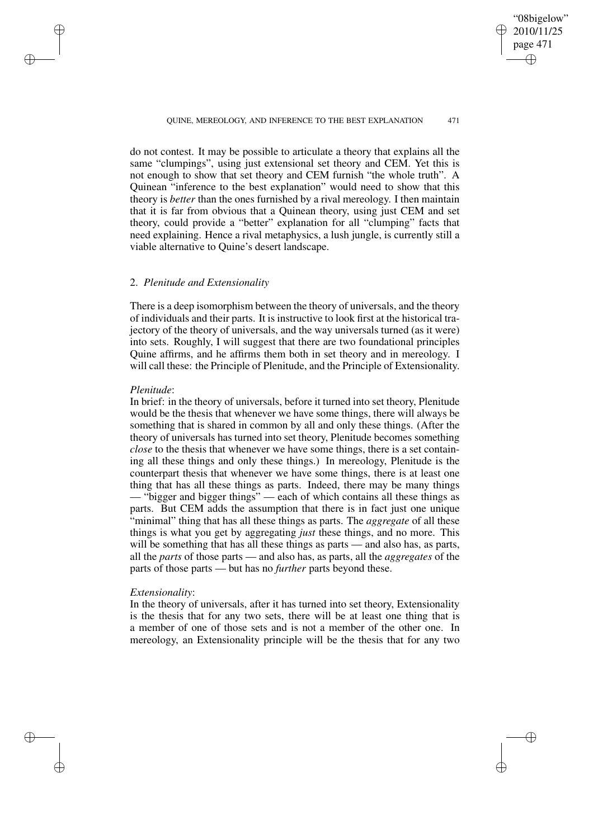"08bigelow" 2010/11/25 page 471 ✐ ✐

✐

✐

### QUINE, MEREOLOGY, AND INFERENCE TO THE BEST EXPLANATION 471

do not contest. It may be possible to articulate a theory that explains all the same "clumpings", using just extensional set theory and CEM. Yet this is not enough to show that set theory and CEM furnish "the whole truth". A Quinean "inference to the best explanation" would need to show that this theory is *better* than the ones furnished by a rival mereology. I then maintain that it is far from obvious that a Quinean theory, using just CEM and set theory, could provide a "better" explanation for all "clumping" facts that need explaining. Hence a rival metaphysics, a lush jungle, is currently still a viable alternative to Quine's desert landscape.

# 2. *Plenitude and Extensionality*

There is a deep isomorphism between the theory of universals, and the theory of individuals and their parts. It is instructive to look first at the historical trajectory of the theory of universals, and the way universals turned (as it were) into sets. Roughly, I will suggest that there are two foundational principles Quine affirms, and he affirms them both in set theory and in mereology. I will call these: the Principle of Plenitude, and the Principle of Extensionality.

## *Plenitude*:

✐

✐

✐

✐

In brief: in the theory of universals, before it turned into set theory, Plenitude would be the thesis that whenever we have some things, there will always be something that is shared in common by all and only these things. (After the theory of universals has turned into set theory, Plenitude becomes something *close* to the thesis that whenever we have some things, there is a set containing all these things and only these things.) In mereology, Plenitude is the counterpart thesis that whenever we have some things, there is at least one thing that has all these things as parts. Indeed, there may be many things — "bigger and bigger things" — each of which contains all these things as parts. But CEM adds the assumption that there is in fact just one unique "minimal" thing that has all these things as parts. The *aggregate* of all these things is what you get by aggregating *just* these things, and no more. This will be something that has all these things as parts — and also has, as parts, all the *parts* of those parts — and also has, as parts, all the *aggregates* of the parts of those parts — but has no *further* parts beyond these.

## *Extensionality*:

In the theory of universals, after it has turned into set theory, Extensionality is the thesis that for any two sets, there will be at least one thing that is a member of one of those sets and is not a member of the other one. In mereology, an Extensionality principle will be the thesis that for any two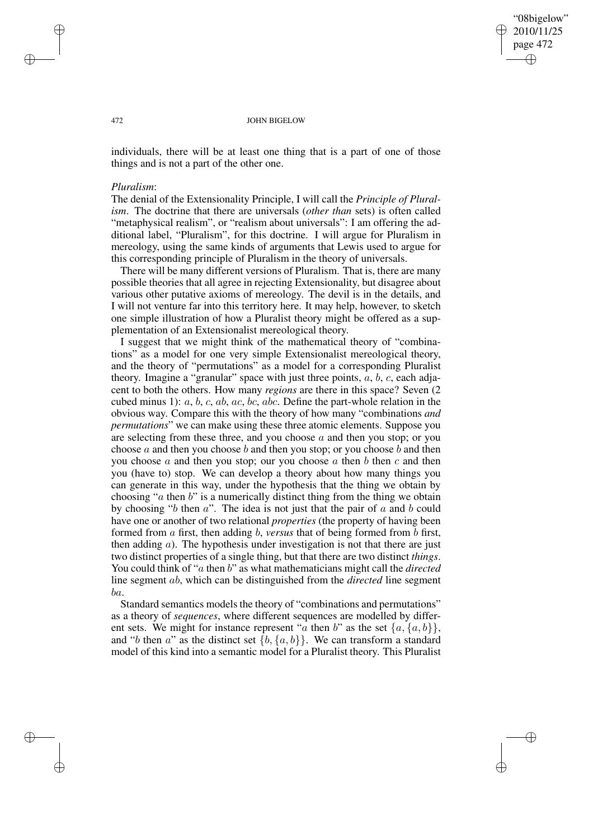"08bigelow" 2010/11/25 page 472 ✐ ✐

✐

✐

#### 472 JOHN BIGELOW

individuals, there will be at least one thing that is a part of one of those things and is not a part of the other one.

### *Pluralism*:

The denial of the Extensionality Principle, I will call the *Principle of Pluralism*. The doctrine that there are universals (*other than* sets) is often called "metaphysical realism", or "realism about universals": I am offering the additional label, "Pluralism", for this doctrine. I will argue for Pluralism in mereology, using the same kinds of arguments that Lewis used to argue for this corresponding principle of Pluralism in the theory of universals.

There will be many different versions of Pluralism. That is, there are many possible theories that all agree in rejecting Extensionality, but disagree about various other putative axioms of mereology. The devil is in the details, and I will not venture far into this territory here. It may help, however, to sketch one simple illustration of how a Pluralist theory might be offered as a supplementation of an Extensionalist mereological theory.

I suggest that we might think of the mathematical theory of "combinations" as a model for one very simple Extensionalist mereological theory, and the theory of "permutations" as a model for a corresponding Pluralist theory. Imagine a "granular" space with just three points,  $a, b, c$ , each adjacent to both the others. How many *regions* are there in this space? Seven (2 cubed minus 1): a, b, c, ab, ac, bc, abc. Define the part-whole relation in the obvious way. Compare this with the theory of how many "combinations *and permutations*" we can make using these three atomic elements. Suppose you are selecting from these three, and you choose  $a$  and then you stop; or you choose a and then you choose b and then you stop; or you choose b and then you choose  $a$  and then you stop; our you choose  $a$  then  $b$  then  $c$  and then you (have to) stop. We can develop a theory about how many things you can generate in this way, under the hypothesis that the thing we obtain by choosing " $a$  then  $b$ " is a numerically distinct thing from the thing we obtain by choosing " $b$  then  $a$ ". The idea is not just that the pair of  $a$  and  $b$  could have one or another of two relational *properties* (the property of having been formed from a first, then adding b, *versus* that of being formed from b first, then adding  $a$ ). The hypothesis under investigation is not that there are just two distinct properties of a single thing, but that there are two distinct *things*. You could think of "*a* then *b*" as what mathematicians might call the *directed* line segment ab, which can be distinguished from the *directed* line segment ba.

Standard semantics models the theory of "combinations and permutations" as a theory of *sequences*, where different sequences are modelled by different sets. We might for instance represent "a then b" as the set  $\{a, \{a, b\}\},\$ and "b then a" as the distinct set  $\{b, \{a, b\}\}\$ . We can transform a standard model of this kind into a semantic model for a Pluralist theory. This Pluralist

✐

✐

✐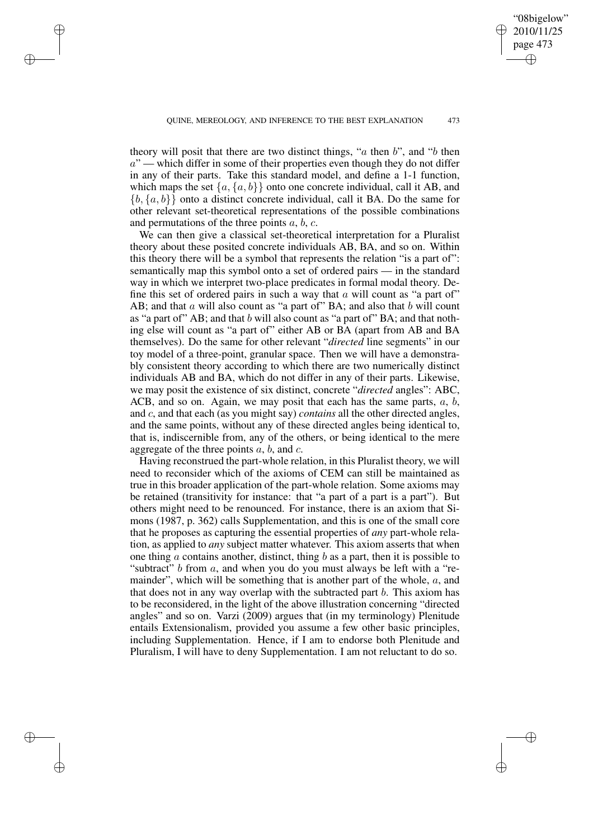"08bigelow" 2010/11/25 page 473

✐

✐

✐

✐

theory will posit that there are two distinct things, " $a$  then  $b$ ", and " $b$  then  $a$ " — which differ in some of their properties even though they do not differ in any of their parts. Take this standard model, and define a 1-1 function, which maps the set  $\{a, \{a, b\}\}\$  onto one concrete individual, call it AB, and  ${b, {a, b}}$  onto a distinct concrete individual, call it BA. Do the same for other relevant set-theoretical representations of the possible combinations and permutations of the three points  $a, b, c$ .

✐

✐

✐

✐

We can then give a classical set-theoretical interpretation for a Pluralist theory about these posited concrete individuals AB, BA, and so on. Within this theory there will be a symbol that represents the relation "is a part of": semantically map this symbol onto a set of ordered pairs — in the standard way in which we interpret two-place predicates in formal modal theory. Define this set of ordered pairs in such a way that  $a$  will count as "a part of" AB; and that  $a$  will also count as "a part of" BA; and also that  $b$  will count as "a part of" AB; and that b will also count as "a part of" BA; and that nothing else will count as "a part of" either AB or BA (apart from AB and BA themselves). Do the same for other relevant "*directed* line segments" in our toy model of a three-point, granular space. Then we will have a demonstrably consistent theory according to which there are two numerically distinct individuals AB and BA, which do not differ in any of their parts. Likewise, we may posit the existence of six distinct, concrete "*directed* angles": ABC, ACB, and so on. Again, we may posit that each has the same parts,  $a, b$ , and c, and that each (as you might say) *contains* all the other directed angles, and the same points, without any of these directed angles being identical to, that is, indiscernible from, any of the others, or being identical to the mere aggregate of the three points  $a, b$ , and  $c$ .

Having reconstrued the part-whole relation, in this Pluralist theory, we will need to reconsider which of the axioms of CEM can still be maintained as true in this broader application of the part-whole relation. Some axioms may be retained (transitivity for instance: that "a part of a part is a part"). But others might need to be renounced. For instance, there is an axiom that Simons (1987, p. 362) calls Supplementation, and this is one of the small core that he proposes as capturing the essential properties of *any* part-whole relation, as applied to *any* subject matter whatever. This axiom asserts that when one thing a contains another, distinct, thing  $b$  as a part, then it is possible to "subtract"  $b$  from  $a$ , and when you do you must always be left with a "remainder", which will be something that is another part of the whole, a, and that does not in any way overlap with the subtracted part  $b$ . This axiom has to be reconsidered, in the light of the above illustration concerning "directed angles" and so on. Varzi (2009) argues that (in my terminology) Plenitude entails Extensionalism, provided you assume a few other basic principles, including Supplementation. Hence, if I am to endorse both Plenitude and Pluralism, I will have to deny Supplementation. I am not reluctant to do so.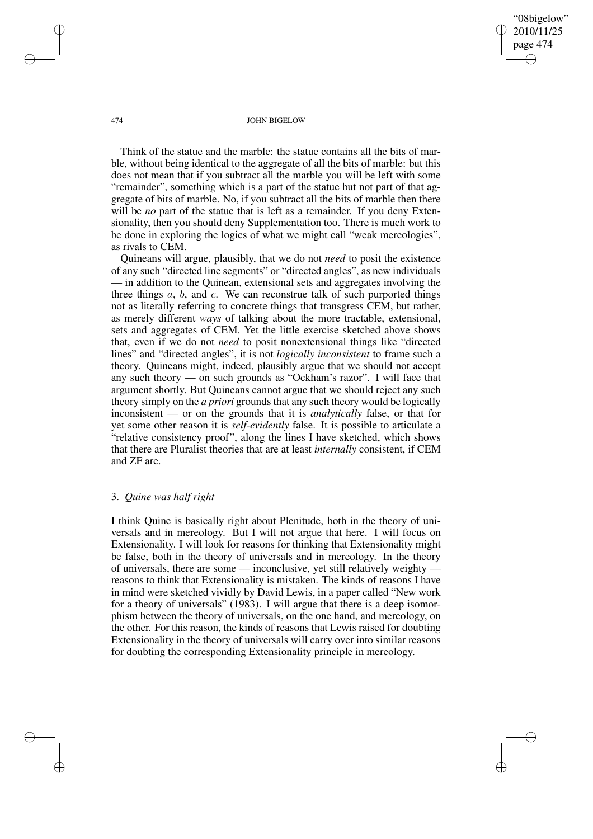"08bigelow" 2010/11/25 page 474 ✐ ✐

✐

✐

#### 474 JOHN BIGELOW

Think of the statue and the marble: the statue contains all the bits of marble, without being identical to the aggregate of all the bits of marble: but this does not mean that if you subtract all the marble you will be left with some "remainder", something which is a part of the statue but not part of that aggregate of bits of marble. No, if you subtract all the bits of marble then there will be *no* part of the statue that is left as a remainder. If you deny Extensionality, then you should deny Supplementation too. There is much work to be done in exploring the logics of what we might call "weak mereologies", as rivals to CEM.

Quineans will argue, plausibly, that we do not *need* to posit the existence of any such "directed line segments" or "directed angles", as new individuals — in addition to the Quinean, extensional sets and aggregates involving the three things  $a, b$ , and  $c$ . We can reconstrue talk of such purported things not as literally referring to concrete things that transgress CEM, but rather, as merely different *ways* of talking about the more tractable, extensional, sets and aggregates of CEM. Yet the little exercise sketched above shows that, even if we do not *need* to posit nonextensional things like "directed lines" and "directed angles", it is not *logically inconsistent* to frame such a theory. Quineans might, indeed, plausibly argue that we should not accept any such theory — on such grounds as "Ockham's razor". I will face that argument shortly. But Quineans cannot argue that we should reject any such theory simply on the *a priori* grounds that any such theory would be logically inconsistent — or on the grounds that it is *analytically* false, or that for yet some other reason it is *self-evidently* false. It is possible to articulate a "relative consistency proof", along the lines I have sketched, which shows that there are Pluralist theories that are at least *internally* consistent, if CEM and ZF are.

# 3. *Quine was half right*

I think Quine is basically right about Plenitude, both in the theory of universals and in mereology. But I will not argue that here. I will focus on Extensionality. I will look for reasons for thinking that Extensionality might be false, both in the theory of universals and in mereology. In the theory of universals, there are some — inconclusive, yet still relatively weighty reasons to think that Extensionality is mistaken. The kinds of reasons I have in mind were sketched vividly by David Lewis, in a paper called "New work for a theory of universals" (1983). I will argue that there is a deep isomorphism between the theory of universals, on the one hand, and mereology, on the other. For this reason, the kinds of reasons that Lewis raised for doubting Extensionality in the theory of universals will carry over into similar reasons for doubting the corresponding Extensionality principle in mereology.

✐

✐

✐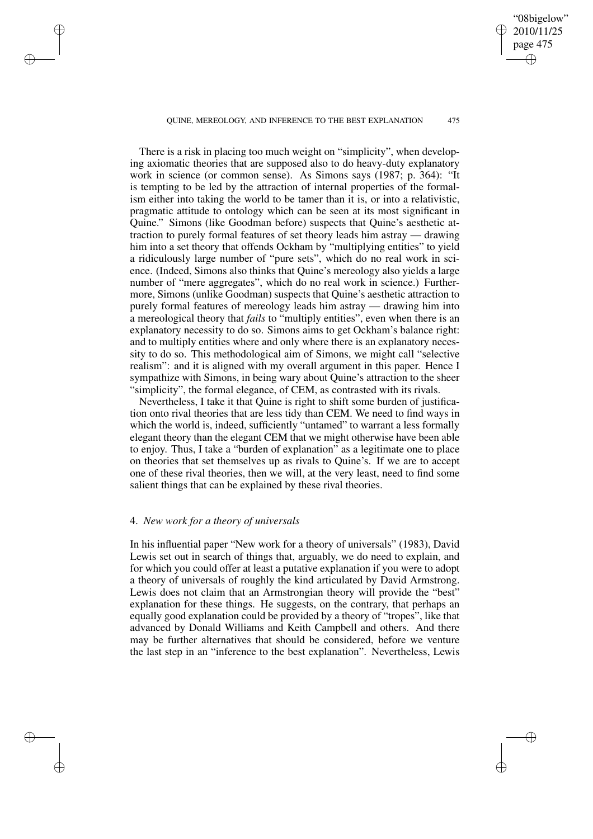QUINE, MEREOLOGY, AND INFERENCE TO THE BEST EXPLANATION 475

"08bigelow" 2010/11/25 page 475

✐

✐

✐

✐

There is a risk in placing too much weight on "simplicity", when developing axiomatic theories that are supposed also to do heavy-duty explanatory work in science (or common sense). As Simons says (1987; p. 364): "It is tempting to be led by the attraction of internal properties of the formalism either into taking the world to be tamer than it is, or into a relativistic, pragmatic attitude to ontology which can be seen at its most significant in Quine." Simons (like Goodman before) suspects that Quine's aesthetic attraction to purely formal features of set theory leads him astray — drawing him into a set theory that offends Ockham by "multiplying entities" to yield a ridiculously large number of "pure sets", which do no real work in science. (Indeed, Simons also thinks that Quine's mereology also yields a large number of "mere aggregates", which do no real work in science.) Furthermore, Simons (unlike Goodman) suspects that Quine's aesthetic attraction to purely formal features of mereology leads him astray — drawing him into a mereological theory that *fails* to "multiply entities", even when there is an explanatory necessity to do so. Simons aims to get Ockham's balance right: and to multiply entities where and only where there is an explanatory necessity to do so. This methodological aim of Simons, we might call "selective realism": and it is aligned with my overall argument in this paper. Hence I sympathize with Simons, in being wary about Quine's attraction to the sheer "simplicity", the formal elegance, of CEM, as contrasted with its rivals.

Nevertheless, I take it that Quine is right to shift some burden of justification onto rival theories that are less tidy than CEM. We need to find ways in which the world is, indeed, sufficiently "untamed" to warrant a less formally elegant theory than the elegant CEM that we might otherwise have been able to enjoy. Thus, I take a "burden of explanation" as a legitimate one to place on theories that set themselves up as rivals to Quine's. If we are to accept one of these rival theories, then we will, at the very least, need to find some salient things that can be explained by these rival theories.

# 4. *New work for a theory of universals*

✐

✐

✐

✐

In his influential paper "New work for a theory of universals" (1983), David Lewis set out in search of things that, arguably, we do need to explain, and for which you could offer at least a putative explanation if you were to adopt a theory of universals of roughly the kind articulated by David Armstrong. Lewis does not claim that an Armstrongian theory will provide the "best" explanation for these things. He suggests, on the contrary, that perhaps an equally good explanation could be provided by a theory of "tropes", like that advanced by Donald Williams and Keith Campbell and others. And there may be further alternatives that should be considered, before we venture the last step in an "inference to the best explanation". Nevertheless, Lewis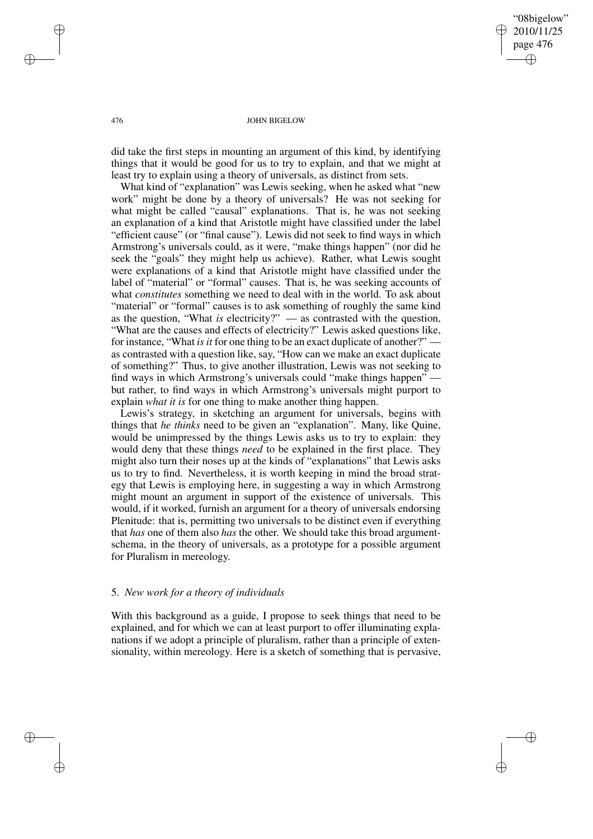"08bigelow" 2010/11/25 page 476 ✐ ✐

✐

✐

### 476 JOHN BIGELOW

did take the first steps in mounting an argument of this kind, by identifying things that it would be good for us to try to explain, and that we might at least try to explain using a theory of universals, as distinct from sets.

What kind of "explanation" was Lewis seeking, when he asked what "new work" might be done by a theory of universals? He was not seeking for what might be called "causal" explanations. That is, he was not seeking an explanation of a kind that Aristotle might have classified under the label "efficient cause" (or "final cause"). Lewis did not seek to find ways in which Armstrong's universals could, as it were, "make things happen" (nor did he seek the "goals" they might help us achieve). Rather, what Lewis sought were explanations of a kind that Aristotle might have classified under the label of "material" or "formal" causes. That is, he was seeking accounts of what *constitutes* something we need to deal with in the world. To ask about "material" or "formal" causes is to ask something of roughly the same kind as the question, "What *is* electricity?" — as contrasted with the question, "What are the causes and effects of electricity?" Lewis asked questions like, for instance, "What *is it* for one thing to be an exact duplicate of another?" as contrasted with a question like, say, "How can we make an exact duplicate of something?" Thus, to give another illustration, Lewis was not seeking to find ways in which Armstrong's universals could "make things happen" but rather, to find ways in which Armstrong's universals might purport to explain *what it is* for one thing to make another thing happen.

Lewis's strategy, in sketching an argument for universals, begins with things that *he thinks* need to be given an "explanation". Many, like Quine, would be unimpressed by the things Lewis asks us to try to explain: they would deny that these things *need* to be explained in the first place. They might also turn their noses up at the kinds of "explanations" that Lewis asks us to try to find. Nevertheless, it is worth keeping in mind the broad strategy that Lewis is employing here, in suggesting a way in which Armstrong might mount an argument in support of the existence of universals. This would, if it worked, furnish an argument for a theory of universals endorsing Plenitude: that is, permitting two universals to be distinct even if everything that *has* one of them also *has* the other. We should take this broad argumentschema, in the theory of universals, as a prototype for a possible argument for Pluralism in mereology.

## 5. *New work for a theory of individuals*

With this background as a guide, I propose to seek things that need to be explained, and for which we can at least purport to offer illuminating explanations if we adopt a principle of pluralism, rather than a principle of extensionality, within mereology. Here is a sketch of something that is pervasive,

✐

✐

✐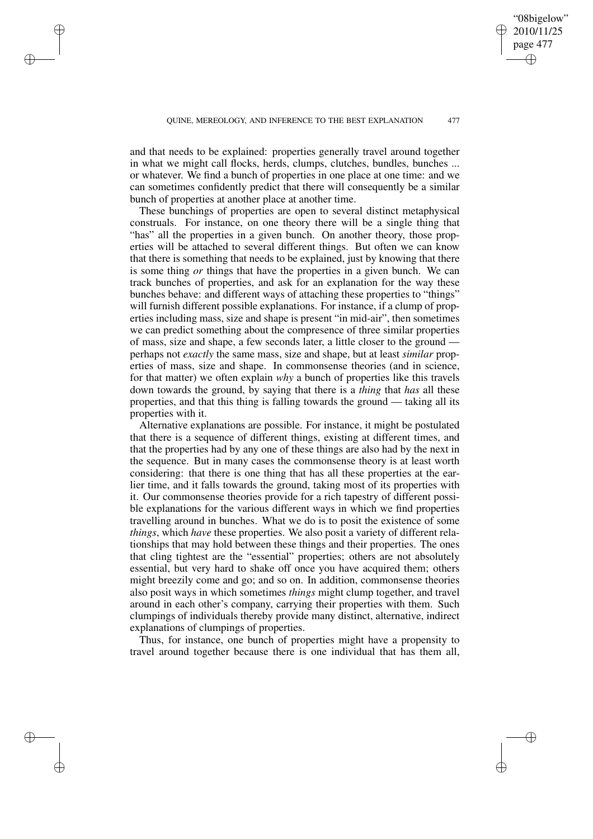"08bigelow" 2010/11/25 page 477

✐

✐

✐

✐

and that needs to be explained: properties generally travel around together in what we might call flocks, herds, clumps, clutches, bundles, bunches ... or whatever. We find a bunch of properties in one place at one time: and we can sometimes confidently predict that there will consequently be a similar bunch of properties at another place at another time.

✐

✐

✐

✐

These bunchings of properties are open to several distinct metaphysical construals. For instance, on one theory there will be a single thing that "has" all the properties in a given bunch. On another theory, those properties will be attached to several different things. But often we can know that there is something that needs to be explained, just by knowing that there is some thing *or* things that have the properties in a given bunch. We can track bunches of properties, and ask for an explanation for the way these bunches behave: and different ways of attaching these properties to "things" will furnish different possible explanations. For instance, if a clump of properties including mass, size and shape is present "in mid-air", then sometimes we can predict something about the compresence of three similar properties of mass, size and shape, a few seconds later, a little closer to the ground perhaps not *exactly* the same mass, size and shape, but at least *similar* properties of mass, size and shape. In commonsense theories (and in science, for that matter) we often explain *why* a bunch of properties like this travels down towards the ground, by saying that there is a *thing* that *has* all these properties, and that this thing is falling towards the ground — taking all its properties with it.

Alternative explanations are possible. For instance, it might be postulated that there is a sequence of different things, existing at different times, and that the properties had by any one of these things are also had by the next in the sequence. But in many cases the commonsense theory is at least worth considering: that there is one thing that has all these properties at the earlier time, and it falls towards the ground, taking most of its properties with it. Our commonsense theories provide for a rich tapestry of different possible explanations for the various different ways in which we find properties travelling around in bunches. What we do is to posit the existence of some *things*, which *have* these properties. We also posit a variety of different relationships that may hold between these things and their properties. The ones that cling tightest are the "essential" properties; others are not absolutely essential, but very hard to shake off once you have acquired them; others might breezily come and go; and so on. In addition, commonsense theories also posit ways in which sometimes *things* might clump together, and travel around in each other's company, carrying their properties with them. Such clumpings of individuals thereby provide many distinct, alternative, indirect explanations of clumpings of properties.

Thus, for instance, one bunch of properties might have a propensity to travel around together because there is one individual that has them all,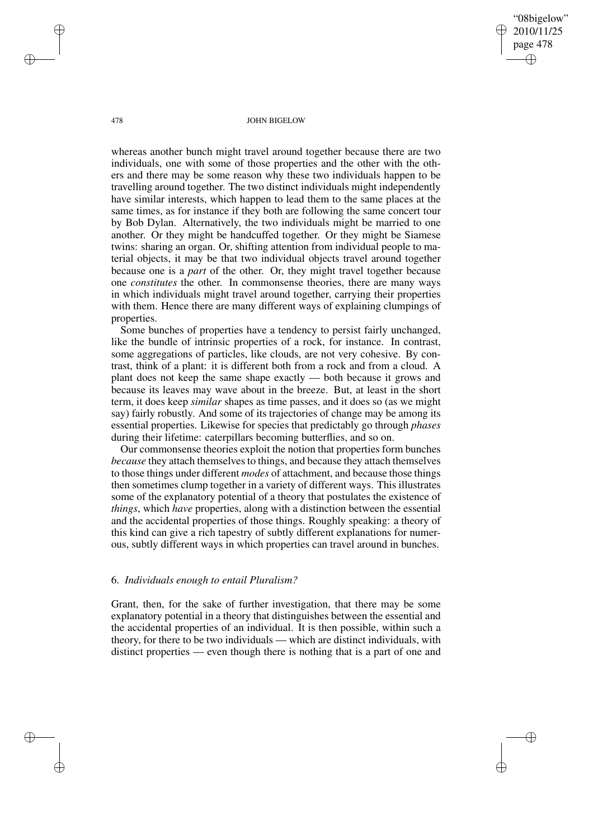"08bigelow" 2010/11/25 page 478 ✐ ✐

✐

✐

#### 478 JOHN BIGELOW

whereas another bunch might travel around together because there are two individuals, one with some of those properties and the other with the others and there may be some reason why these two individuals happen to be travelling around together. The two distinct individuals might independently have similar interests, which happen to lead them to the same places at the same times, as for instance if they both are following the same concert tour by Bob Dylan. Alternatively, the two individuals might be married to one another. Or they might be handcuffed together. Or they might be Siamese twins: sharing an organ. Or, shifting attention from individual people to material objects, it may be that two individual objects travel around together because one is a *part* of the other. Or, they might travel together because one *constitutes* the other. In commonsense theories, there are many ways in which individuals might travel around together, carrying their properties with them. Hence there are many different ways of explaining clumpings of properties.

Some bunches of properties have a tendency to persist fairly unchanged, like the bundle of intrinsic properties of a rock, for instance. In contrast, some aggregations of particles, like clouds, are not very cohesive. By contrast, think of a plant: it is different both from a rock and from a cloud. A plant does not keep the same shape exactly — both because it grows and because its leaves may wave about in the breeze. But, at least in the short term, it does keep *similar* shapes as time passes, and it does so (as we might say) fairly robustly. And some of its trajectories of change may be among its essential properties. Likewise for species that predictably go through *phases* during their lifetime: caterpillars becoming butterflies, and so on.

Our commonsense theories exploit the notion that properties form bunches *because* they attach themselves to things, and because they attach themselves to those things under different *modes* of attachment, and because those things then sometimes clump together in a variety of different ways. This illustrates some of the explanatory potential of a theory that postulates the existence of *things*, which *have* properties, along with a distinction between the essential and the accidental properties of those things. Roughly speaking: a theory of this kind can give a rich tapestry of subtly different explanations for numerous, subtly different ways in which properties can travel around in bunches.

## 6. *Individuals enough to entail Pluralism?*

Grant, then, for the sake of further investigation, that there may be some explanatory potential in a theory that distinguishes between the essential and the accidental properties of an individual. It is then possible, within such a theory, for there to be two individuals — which are distinct individuals, with distinct properties — even though there is nothing that is a part of one and

✐

✐

✐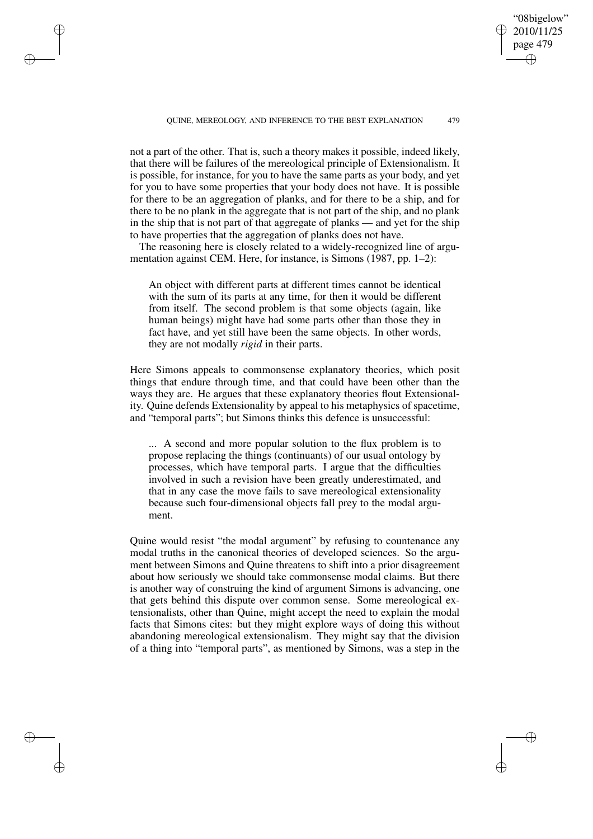"08bigelow" 2010/11/25 page 479

✐

✐

✐

✐

not a part of the other. That is, such a theory makes it possible, indeed likely, that there will be failures of the mereological principle of Extensionalism. It is possible, for instance, for you to have the same parts as your body, and yet for you to have some properties that your body does not have. It is possible for there to be an aggregation of planks, and for there to be a ship, and for there to be no plank in the aggregate that is not part of the ship, and no plank in the ship that is not part of that aggregate of planks — and yet for the ship to have properties that the aggregation of planks does not have.

✐

✐

✐

✐

The reasoning here is closely related to a widely-recognized line of argumentation against CEM. Here, for instance, is Simons (1987, pp. 1–2):

An object with different parts at different times cannot be identical with the sum of its parts at any time, for then it would be different from itself. The second problem is that some objects (again, like human beings) might have had some parts other than those they in fact have, and yet still have been the same objects. In other words, they are not modally *rigid* in their parts.

Here Simons appeals to commonsense explanatory theories, which posit things that endure through time, and that could have been other than the ways they are. He argues that these explanatory theories flout Extensionality. Quine defends Extensionality by appeal to his metaphysics of spacetime, and "temporal parts"; but Simons thinks this defence is unsuccessful:

... A second and more popular solution to the flux problem is to propose replacing the things (continuants) of our usual ontology by processes, which have temporal parts. I argue that the difficulties involved in such a revision have been greatly underestimated, and that in any case the move fails to save mereological extensionality because such four-dimensional objects fall prey to the modal argument.

Quine would resist "the modal argument" by refusing to countenance any modal truths in the canonical theories of developed sciences. So the argument between Simons and Quine threatens to shift into a prior disagreement about how seriously we should take commonsense modal claims. But there is another way of construing the kind of argument Simons is advancing, one that gets behind this dispute over common sense. Some mereological extensionalists, other than Quine, might accept the need to explain the modal facts that Simons cites: but they might explore ways of doing this without abandoning mereological extensionalism. They might say that the division of a thing into "temporal parts", as mentioned by Simons, was a step in the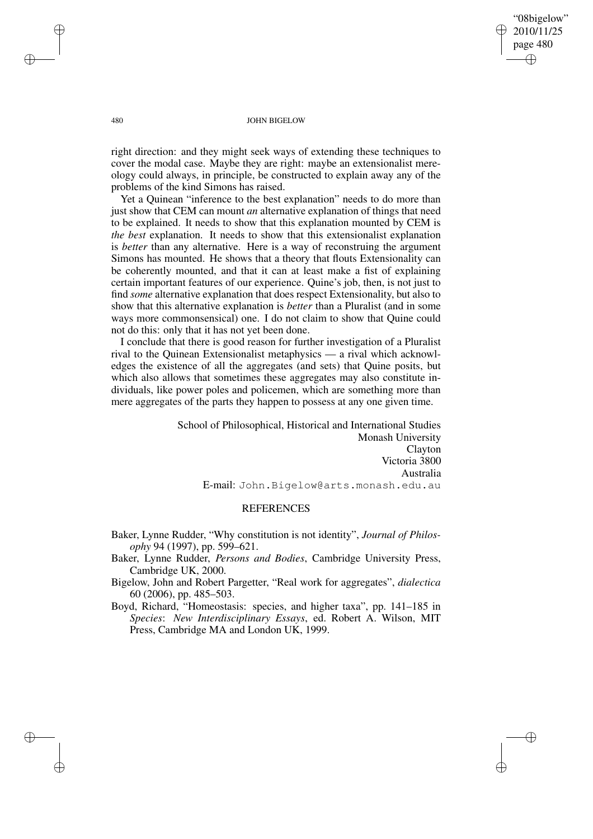"08bigelow" 2010/11/25 page 480 ✐ ✐

✐

✐

### 480 JOHN BIGELOW

right direction: and they might seek ways of extending these techniques to cover the modal case. Maybe they are right: maybe an extensionalist mereology could always, in principle, be constructed to explain away any of the problems of the kind Simons has raised.

Yet a Quinean "inference to the best explanation" needs to do more than just show that CEM can mount *an* alternative explanation of things that need to be explained. It needs to show that this explanation mounted by CEM is *the best* explanation. It needs to show that this extensionalist explanation is *better* than any alternative. Here is a way of reconstruing the argument Simons has mounted. He shows that a theory that flouts Extensionality can be coherently mounted, and that it can at least make a fist of explaining certain important features of our experience. Quine's job, then, is not just to find *some* alternative explanation that does respect Extensionality, but also to show that this alternative explanation is *better* than a Pluralist (and in some ways more commonsensical) one. I do not claim to show that Quine could not do this: only that it has not yet been done.

I conclude that there is good reason for further investigation of a Pluralist rival to the Quinean Extensionalist metaphysics — a rival which acknowledges the existence of all the aggregates (and sets) that Quine posits, but which also allows that sometimes these aggregates may also constitute individuals, like power poles and policemen, which are something more than mere aggregates of the parts they happen to possess at any one given time.

> School of Philosophical, Historical and International Studies Monash University Clayton Victoria 3800 Australia E-mail: John.Bigelow@arts.monash.edu.au

# **REFERENCES**

Baker, Lynne Rudder, "Why constitution is not identity", *Journal of Philosophy* 94 (1997), pp. 599–621.

- Baker, Lynne Rudder, *Persons and Bodies*, Cambridge University Press, Cambridge UK, 2000.
- Bigelow, John and Robert Pargetter, "Real work for aggregates", *dialectica* 60 (2006), pp. 485–503.

Boyd, Richard, "Homeostasis: species, and higher taxa", pp. 141–185 in *Species*: *New Interdisciplinary Essays*, ed. Robert A. Wilson, MIT Press, Cambridge MA and London UK, 1999.

✐

✐

✐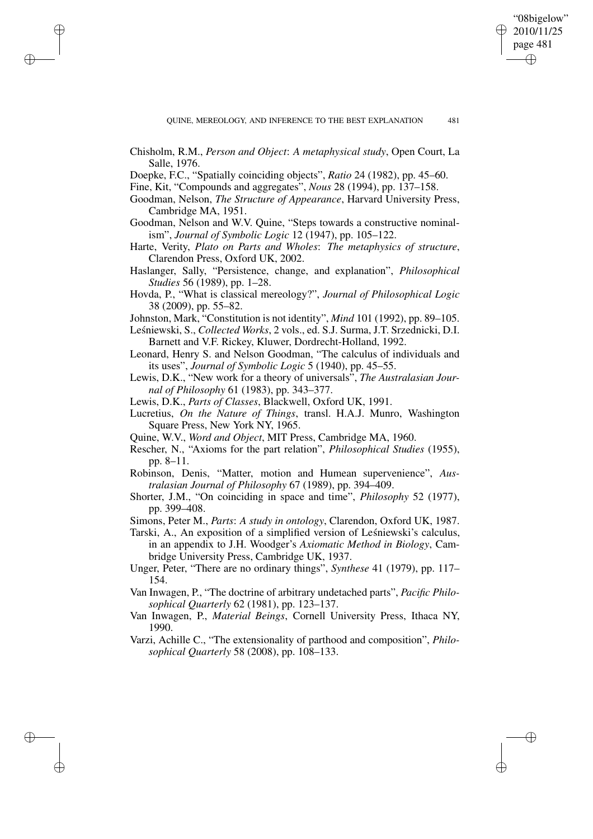✐

✐

- Chisholm, R.M., *Person and Object*: *A metaphysical study*, Open Court, La Salle, 1976.
- Doepke, F.C., "Spatially coinciding objects", *Ratio* 24 (1982), pp. 45–60.
- Fine, Kit, "Compounds and aggregates", *Nous* 28 (1994), pp. 137–158.

✐

✐

✐

- Goodman, Nelson, *The Structure of Appearance*, Harvard University Press, Cambridge MA, 1951.
- Goodman, Nelson and W.V. Quine, "Steps towards a constructive nominalism", *Journal of Symbolic Logic* 12 (1947), pp. 105–122.
- Harte, Verity, *Plato on Parts and Wholes*: *The metaphysics of structure*, Clarendon Press, Oxford UK, 2002.
- Haslanger, Sally, "Persistence, change, and explanation", *Philosophical Studies* 56 (1989), pp. 1–28.
- Hovda, P., "What is classical mereology?", *Journal of Philosophical Logic* 38 (2009), pp. 55–82.
- Johnston, Mark, "Constitution is not identity", *Mind* 101 (1992), pp. 89–105.
- Leśniewski, S., *Collected Works*, 2 vols., ed. S.J. Surma, J.T. Srzednicki, D.I. Barnett and V.F. Rickey, Kluwer, Dordrecht-Holland, 1992.
- Leonard, Henry S. and Nelson Goodman, "The calculus of individuals and its uses", *Journal of Symbolic Logic* 5 (1940), pp. 45–55.
- Lewis, D.K., "New work for a theory of universals", *The Australasian Journal of Philosophy* 61 (1983), pp. 343–377.
- Lewis, D.K., *Parts of Classes*, Blackwell, Oxford UK, 1991.
- Lucretius, *On the Nature of Things*, transl. H.A.J. Munro, Washington Square Press, New York NY, 1965.
- Quine, W.V., *Word and Object*, MIT Press, Cambridge MA, 1960.
- Rescher, N., "Axioms for the part relation", *Philosophical Studies* (1955), pp. 8–11.
- Robinson, Denis, "Matter, motion and Humean supervenience", *Australasian Journal of Philosophy* 67 (1989), pp. 394–409.
- Shorter, J.M., "On coinciding in space and time", *Philosophy* 52 (1977), pp. 399–408.
- Simons, Peter M., *Parts*: *A study in ontology*, Clarendon, Oxford UK, 1987.
- Tarski, A., An exposition of a simplified version of Leśniewski's calculus, in an appendix to J.H. Woodger's *Axiomatic Method in Biology*, Cambridge University Press, Cambridge UK, 1937.
- Unger, Peter, "There are no ordinary things", *Synthese* 41 (1979), pp. 117– 154.
- Van Inwagen, P., "The doctrine of arbitrary undetached parts", *Pacific Philosophical Quarterly* 62 (1981), pp. 123–137.
- Van Inwagen, P., *Material Beings*, Cornell University Press, Ithaca NY, 1990.
- Varzi, Achille C., "The extensionality of parthood and composition", *Philosophical Quarterly* 58 (2008), pp. 108–133.